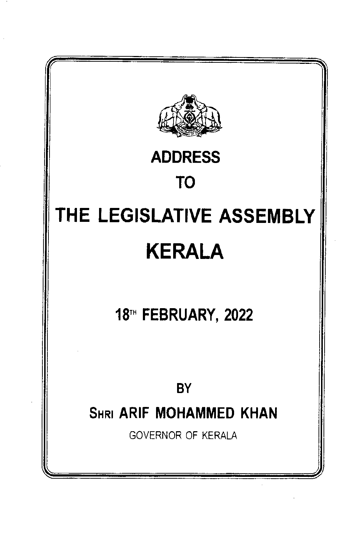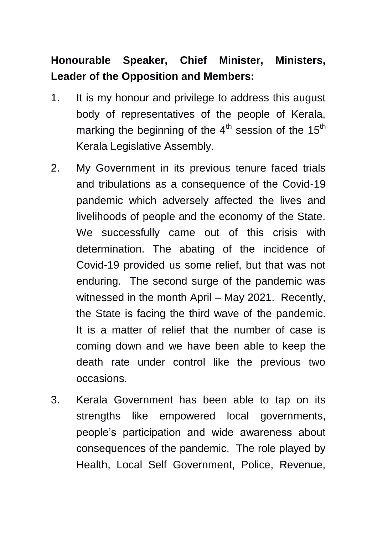# **Honourable Speaker, Chief Minister, Ministers, Leader of the Opposition and Members:**

- 1. It is my honour and privilege to address this august body of representatives of the people of Kerala, marking the beginning of the  $4<sup>th</sup>$  session of the  $15<sup>th</sup>$ Kerala Legislative Assembly.
- 2. My Government in its previous tenure faced trials and tribulations as a consequence of the Covid-19 pandemic which adversely affected the lives and livelihoods of people and the economy of the State. We successfully came out of this crisis with determination. The abating of the incidence of Covid-19 provided us some relief, but that was not enduring. The second surge of the pandemic was witnessed in the month April – May 2021. Recently, the State is facing the third wave of the pandemic. It is a matter of relief that the number of case is coming down and we have been able to keep the death rate under control like the previous two occasions.
- 3. Kerala Government has been able to tap on its strengths like empowered local governments, people"s participation and wide awareness about consequences of the pandemic. The role played by Health, Local Self Government, Police, Revenue,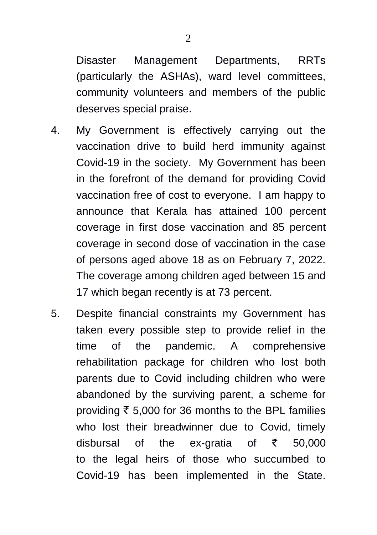Disaster Management Departments, RRTs (particularly the ASHAs), ward level committees, community volunteers and members of the public deserves special praise.

- 4. My Government is effectively carrying out the vaccination drive to build herd immunity against Covid-19 in the society. My Government has been in the forefront of the demand for providing Covid vaccination free of cost to everyone. I am happy to announce that Kerala has attained 100 percent coverage in first dose vaccination and 85 percent coverage in second dose of vaccination in the case of persons aged above 18 as on February 7, 2022. The coverage among children aged between 15 and 17 which began recently is at 73 percent.
- 5. Despite financial constraints my Government has taken every possible step to provide relief in the time of the pandemic. A comprehensive rehabilitation package for children who lost both parents due to Covid including children who were abandoned by the surviving parent, a scheme for providing  $\overline{\xi}$  5,000 for 36 months to the BPL families who lost their breadwinner due to Covid, timely disbursal of the ex-gratia of  $\bar{\tau}$  50,000 to the legal heirs of those who succumbed to Covid-19 has been implemented in the State.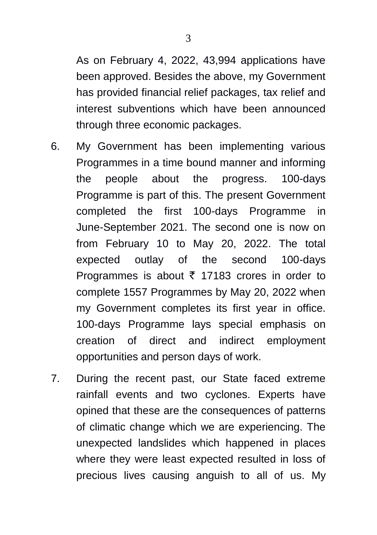As on February 4, 2022, 43,994 applications have been approved. Besides the above, my Government has provided financial relief packages, tax relief and interest subventions which have been announced through three economic packages.

- 6. My Government has been implementing various Programmes in a time bound manner and informing the people about the progress. 100-days Programme is part of this. The present Government completed the first 100-days Programme in June-September 2021. The second one is now on from February 10 to May 20, 2022. The total expected outlay of the second 100-days Programmes is about  $\bar{\tau}$  17183 crores in order to complete 1557 Programmes by May 20, 2022 when my Government completes its first year in office. 100-days Programme lays special emphasis on creation of direct and indirect employment opportunities and person days of work.
- 7. During the recent past, our State faced extreme rainfall events and two cyclones. Experts have opined that these are the consequences of patterns of climatic change which we are experiencing. The unexpected landslides which happened in places where they were least expected resulted in loss of precious lives causing anguish to all of us. My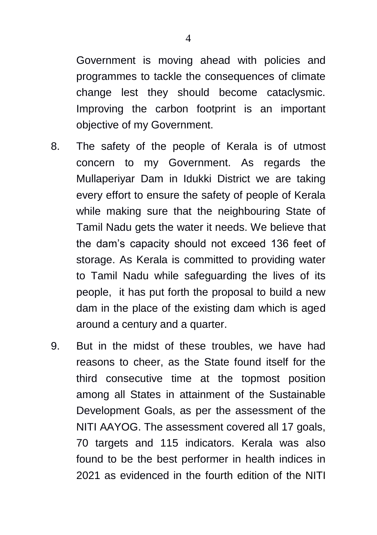Government is moving ahead with policies and programmes to tackle the consequences of climate change lest they should become cataclysmic. Improving the carbon footprint is an important objective of my Government.

- 8. The safety of the people of Kerala is of utmost concern to my Government. As regards the Mullaperiyar Dam in Idukki District we are taking every effort to ensure the safety of people of Kerala while making sure that the neighbouring State of Tamil Nadu gets the water it needs. We believe that the dam"s capacity should not exceed 136 feet of storage. As Kerala is committed to providing water to Tamil Nadu while safeguarding the lives of its people, it has put forth the proposal to build a new dam in the place of the existing dam which is aged around a century and a quarter.
- 9. But in the midst of these troubles, we have had reasons to cheer, as the State found itself for the third consecutive time at the topmost position among all States in attainment of the Sustainable Development Goals, as per the assessment of the NITI AAYOG. The assessment covered all 17 goals, 70 targets and 115 indicators. Kerala was also found to be the best performer in health indices in 2021 as evidenced in the fourth edition of the NITI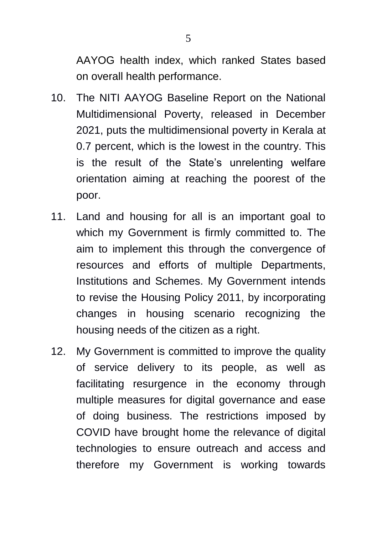AAYOG health index, which ranked States based on overall health performance.

- 10. The NITI AAYOG Baseline Report on the National Multidimensional Poverty, released in December 2021, puts the multidimensional poverty in Kerala at 0.7 percent, which is the lowest in the country. This is the result of the State"s unrelenting welfare orientation aiming at reaching the poorest of the poor.
- 11. Land and housing for all is an important goal to which my Government is firmly committed to. The aim to implement this through the convergence of resources and efforts of multiple Departments, Institutions and Schemes. My Government intends to revise the Housing Policy 2011, by incorporating changes in housing scenario recognizing the housing needs of the citizen as a right.
- 12. My Government is committed to improve the quality of service delivery to its people, as well as facilitating resurgence in the economy through multiple measures for digital governance and ease of doing business. The restrictions imposed by COVID have brought home the relevance of digital technologies to ensure outreach and access and therefore my Government is working towards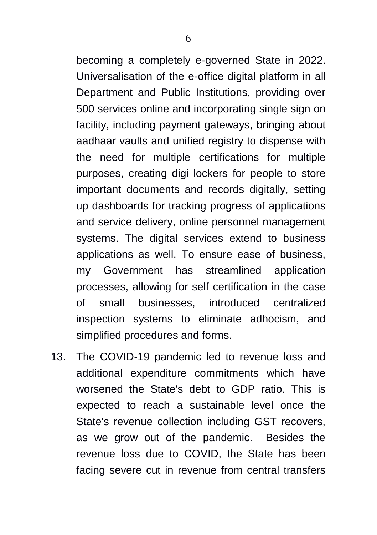becoming a completely e-governed State in 2022. Universalisation of the e-office digital platform in all Department and Public Institutions, providing over 500 services online and incorporating single sign on facility, including payment gateways, bringing about aadhaar vaults and unified registry to dispense with the need for multiple certifications for multiple purposes, creating digi lockers for people to store important documents and records digitally, setting up dashboards for tracking progress of applications and service delivery, online personnel management systems. The digital services extend to business applications as well. To ensure ease of business, my Government has streamlined application processes, allowing for self certification in the case of small businesses, introduced centralized inspection systems to eliminate adhocism, and simplified procedures and forms.

13. The COVID-19 pandemic led to revenue loss and additional expenditure commitments which have worsened the State's debt to GDP ratio. This is expected to reach a sustainable level once the State's revenue collection including GST recovers, as we grow out of the pandemic. Besides the revenue loss due to COVID, the State has been facing severe cut in revenue from central transfers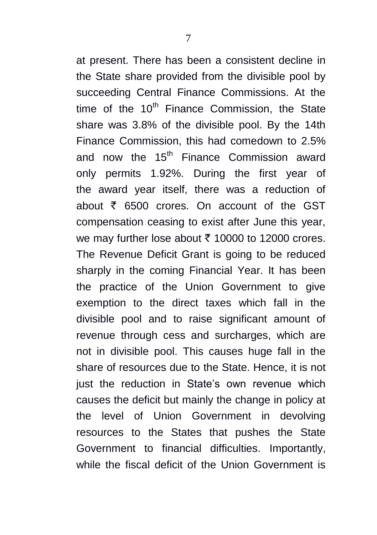at present. There has been a consistent decline in the State share provided from the divisible pool by succeeding Central Finance Commissions. At the time of the  $10<sup>th</sup>$  Finance Commission, the State share was 3.8% of the divisible pool. By the 14th Finance Commission, this had comedown to 2.5% and now the  $15<sup>th</sup>$  Finance Commission award only permits 1.92%. During the first year of the award year itself, there was a reduction of about  $\bar{\tau}$  6500 crores. On account of the GST compensation ceasing to exist after June this year, we may further lose about  $\bar{\tau}$  10000 to 12000 crores. The Revenue Deficit Grant is going to be reduced sharply in the coming Financial Year. It has been the practice of the Union Government to give exemption to the direct taxes which fall in the divisible pool and to raise significant amount of revenue through cess and surcharges, which are not in divisible pool. This causes huge fall in the share of resources due to the State. Hence, it is not just the reduction in State's own revenue which causes the deficit but mainly the change in policy at the level of Union Government in devolving resources to the States that pushes the State Government to financial difficulties. Importantly, while the fiscal deficit of the Union Government is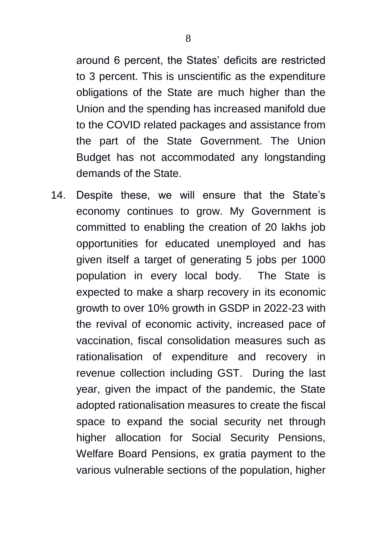around 6 percent, the States" deficits are restricted to 3 percent. This is unscientific as the expenditure obligations of the State are much higher than the Union and the spending has increased manifold due to the COVID related packages and assistance from the part of the State Government. The Union Budget has not accommodated any longstanding demands of the State.

14. Despite these, we will ensure that the State"s economy continues to grow. My Government is committed to enabling the creation of 20 lakhs job opportunities for educated unemployed and has given itself a target of generating 5 jobs per 1000 population in every local body. The State is expected to make a sharp recovery in its economic growth to over 10% growth in GSDP in 2022-23 with the revival of economic activity, increased pace of vaccination, fiscal consolidation measures such as rationalisation of expenditure and recovery in revenue collection including GST. During the last year, given the impact of the pandemic, the State adopted rationalisation measures to create the fiscal space to expand the social security net through higher allocation for Social Security Pensions, Welfare Board Pensions, ex gratia payment to the various vulnerable sections of the population, higher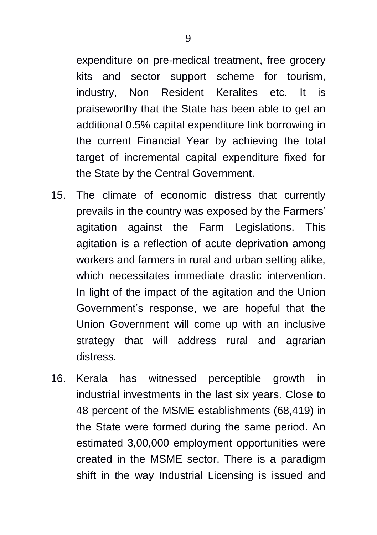9

expenditure on pre-medical treatment, free grocery kits and sector support scheme for tourism, industry, Non Resident Keralites etc. It is praiseworthy that the State has been able to get an additional 0.5% capital expenditure link borrowing in the current Financial Year by achieving the total target of incremental capital expenditure fixed for the State by the Central Government.

- 15. The climate of economic distress that currently prevails in the country was exposed by the Farmers" agitation against the Farm Legislations. This agitation is a reflection of acute deprivation among workers and farmers in rural and urban setting alike, which necessitates immediate drastic intervention. In light of the impact of the agitation and the Union Government"s response, we are hopeful that the Union Government will come up with an inclusive strategy that will address rural and agrarian distress.
- 16. Kerala has witnessed perceptible growth in industrial investments in the last six years. Close to 48 percent of the MSME establishments (68,419) in the State were formed during the same period. An estimated 3,00,000 employment opportunities were created in the MSME sector. There is a paradigm shift in the way Industrial Licensing is issued and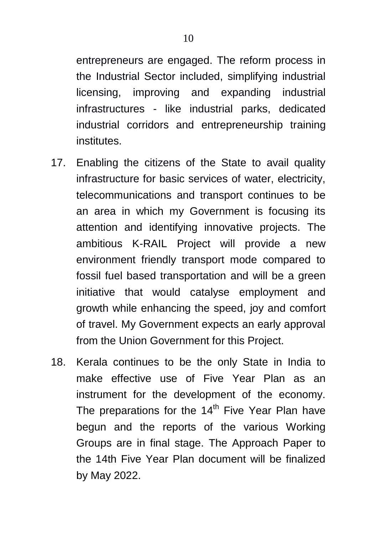entrepreneurs are engaged. The reform process in the Industrial Sector included, simplifying industrial licensing, improving and expanding industrial infrastructures - like industrial parks, dedicated industrial corridors and entrepreneurship training institutes.

- 17. Enabling the citizens of the State to avail quality infrastructure for basic services of water, electricity, telecommunications and transport continues to be an area in which my Government is focusing its attention and identifying innovative projects. The ambitious K-RAIL Project will provide a new environment friendly transport mode compared to fossil fuel based transportation and will be a green initiative that would catalyse employment and growth while enhancing the speed, joy and comfort of travel. My Government expects an early approval from the Union Government for this Project.
- 18. Kerala continues to be the only State in India to make effective use of Five Year Plan as an instrument for the development of the economy. The preparations for the  $14<sup>th</sup>$  Five Year Plan have begun and the reports of the various Working Groups are in final stage. The Approach Paper to the 14th Five Year Plan document will be finalized by May 2022.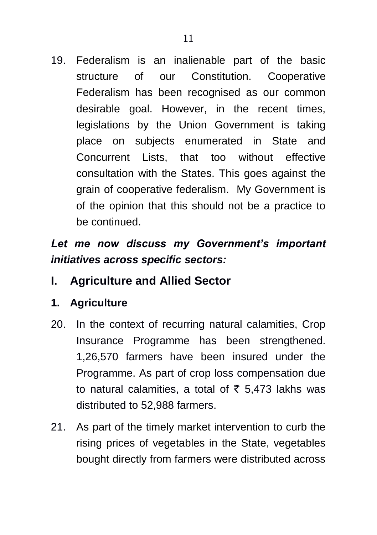19. Federalism is an inalienable part of the basic structure of our Constitution. Cooperative Federalism has been recognised as our common desirable goal. However, in the recent times, legislations by the Union Government is taking place on subjects enumerated in State and Concurrent Lists, that too without effective consultation with the States. This goes against the grain of cooperative federalism. My Government is of the opinion that this should not be a practice to be continued.

# *Let me now discuss my Government's important initiatives across specific sectors:*

- **I. Agriculture and Allied Sector**
- **1. Agriculture**
- 20. In the context of recurring natural calamities, Crop Insurance Programme has been strengthened. 1,26,570 farmers have been insured under the Programme. As part of crop loss compensation due to natural calamities, a total of  $\bar{\tau}$  5,473 lakhs was distributed to 52,988 farmers.
- 21. As part of the timely market intervention to curb the rising prices of vegetables in the State, vegetables bought directly from farmers were distributed across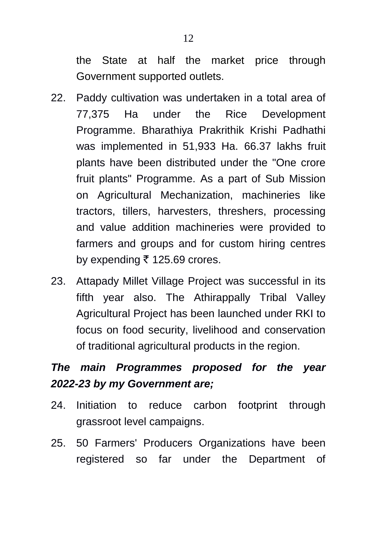the State at half the market price through Government supported outlets.

- 22. Paddy cultivation was undertaken in a total area of 77,375 Ha under the Rice Development Programme. Bharathiya Prakrithik Krishi Padhathi was implemented in 51,933 Ha. 66.37 lakhs fruit plants have been distributed under the "One crore fruit plants" Programme. As a part of Sub Mission on Agricultural Mechanization, machineries like tractors, tillers, harvesters, threshers, processing and value addition machineries were provided to farmers and groups and for custom hiring centres by expending  $\bar{\tau}$  125.69 crores.
- 23. Attapady Millet Village Project was successful in its fifth year also. The Athirappally Tribal Valley Agricultural Project has been launched under RKI to focus on food security, livelihood and conservation of traditional agricultural products in the region.

# *The main Programmes proposed for the year 2022-23 by my Government are;*

- 24. Initiation to reduce carbon footprint through grassroot level campaigns.
- 25. 50 Farmers' Producers Organizations have been registered so far under the Department of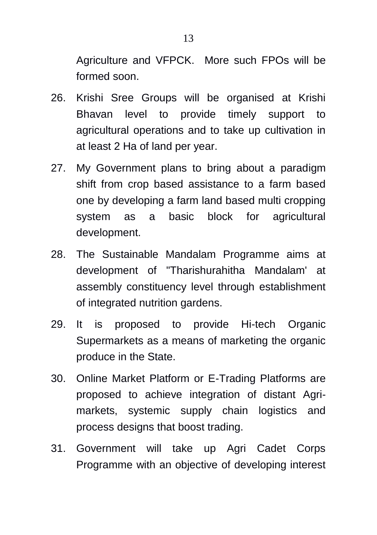Agriculture and VFPCK. More such FPOs will be formed soon.

- 26. Krishi Sree Groups will be organised at Krishi Bhavan level to provide timely support to agricultural operations and to take up cultivation in at least 2 Ha of land per year.
- 27. My Government plans to bring about a paradigm shift from crop based assistance to a farm based one by developing a farm land based multi cropping system as a basic block for agricultural development.
- 28. The Sustainable Mandalam Programme aims at development of "Tharishurahitha Mandalam' at assembly constituency level through establishment of integrated nutrition gardens.
- 29. It is proposed to provide Hi-tech Organic Supermarkets as a means of marketing the organic produce in the State.
- 30. Online Market Platform or E-Trading Platforms are proposed to achieve integration of distant Agrimarkets, systemic supply chain logistics and process designs that boost trading.
- 31. Government will take up Agri Cadet Corps Programme with an objective of developing interest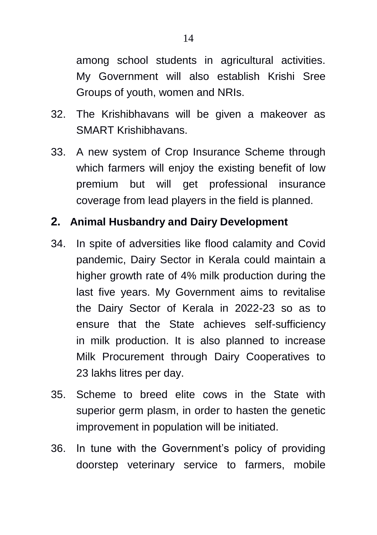among school students in agricultural activities. My Government will also establish Krishi Sree Groups of youth, women and NRIs.

- 32. The Krishibhavans will be given a makeover as SMART Krishibhavans.
- 33. A new system of Crop Insurance Scheme through which farmers will enjoy the existing benefit of low premium but will get professional insurance coverage from lead players in the field is planned.

## **2. Animal Husbandry and Dairy Development**

- 34. In spite of adversities like flood calamity and Covid pandemic, Dairy Sector in Kerala could maintain a higher growth rate of 4% milk production during the last five years. My Government aims to revitalise the Dairy Sector of Kerala in 2022-23 so as to ensure that the State achieves self-sufficiency in milk production. It is also planned to increase Milk Procurement through Dairy Cooperatives to 23 lakhs litres per day.
- 35. Scheme to breed elite cows in the State with superior germ plasm, in order to hasten the genetic improvement in population will be initiated.
- 36. In tune with the Government"s policy of providing doorstep veterinary service to farmers, mobile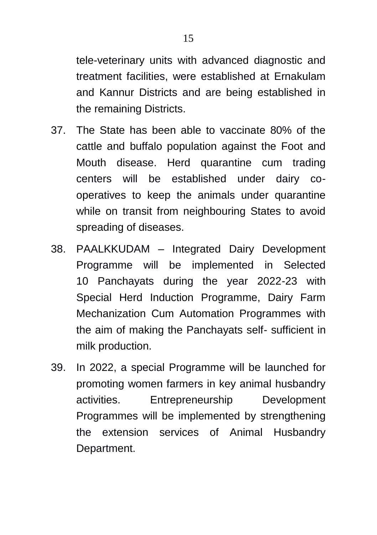tele-veterinary units with advanced diagnostic and treatment facilities, were established at Ernakulam and Kannur Districts and are being established in the remaining Districts.

- 37. The State has been able to vaccinate 80% of the cattle and buffalo population against the Foot and Mouth disease. Herd quarantine cum trading centers will be established under dairy cooperatives to keep the animals under quarantine while on transit from neighbouring States to avoid spreading of diseases.
- 38. PAALKKUDAM Integrated Dairy Development Programme will be implemented in Selected 10 Panchayats during the year 2022-23 with Special Herd Induction Programme, Dairy Farm Mechanization Cum Automation Programmes with the aim of making the Panchayats self- sufficient in milk production.
- 39. In 2022, a special Programme will be launched for promoting women farmers in key animal husbandry activities. Entrepreneurship Development Programmes will be implemented by strengthening the extension services of Animal Husbandry Department.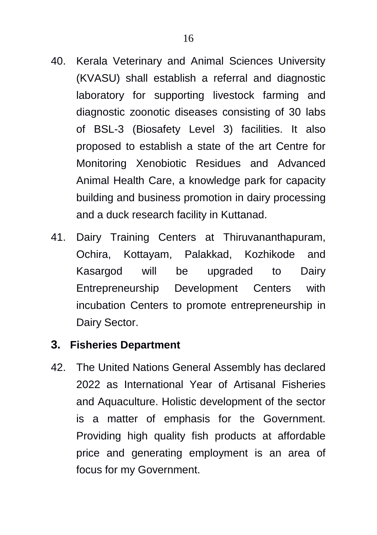- 40. Kerala Veterinary and Animal Sciences University (KVASU) shall establish a referral and diagnostic laboratory for supporting livestock farming and diagnostic zoonotic diseases consisting of 30 labs of BSL-3 (Biosafety Level 3) facilities. It also proposed to establish a state of the art Centre for Monitoring Xenobiotic Residues and Advanced Animal Health Care, a knowledge park for capacity building and business promotion in dairy processing and a duck research facility in Kuttanad.
- 41. Dairy Training Centers at Thiruvananthapuram, Ochira, Kottayam, Palakkad, Kozhikode and Kasargod will be upgraded to Dairy Entrepreneurship Development Centers with incubation Centers to promote entrepreneurship in Dairy Sector.

### **3. Fisheries Department**

42. The United Nations General Assembly has declared 2022 as International Year of Artisanal Fisheries and Aquaculture. Holistic development of the sector is a matter of emphasis for the Government. Providing high quality fish products at affordable price and generating employment is an area of focus for my Government.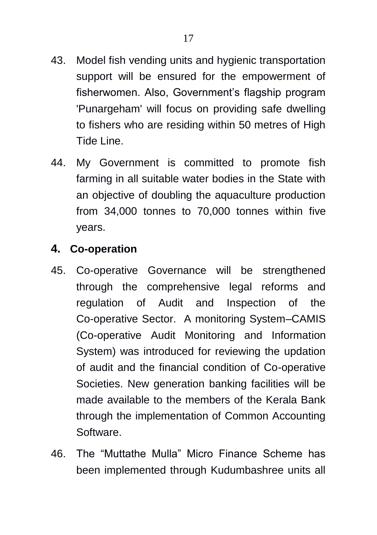- 43. Model fish vending units and hygienic transportation support will be ensured for the empowerment of fisherwomen. Also, Government"s flagship program 'Punargeham' will focus on providing safe dwelling to fishers who are residing within 50 metres of High Tide Line.
- 44. My Government is committed to promote fish farming in all suitable water bodies in the State with an objective of doubling the aquaculture production from 34,000 tonnes to 70,000 tonnes within five years.

## **4. Co-operation**

- 45. Co-operative Governance will be strengthened through the comprehensive legal reforms and regulation of Audit and Inspection of the Co-operative Sector. A monitoring System–CAMIS (Co-operative Audit Monitoring and Information System) was introduced for reviewing the updation of audit and the financial condition of Co-operative Societies. New generation banking facilities will be made available to the members of the Kerala Bank through the implementation of Common Accounting Software.
- 46. The "Muttathe Mulla" Micro Finance Scheme has been implemented through Kudumbashree units all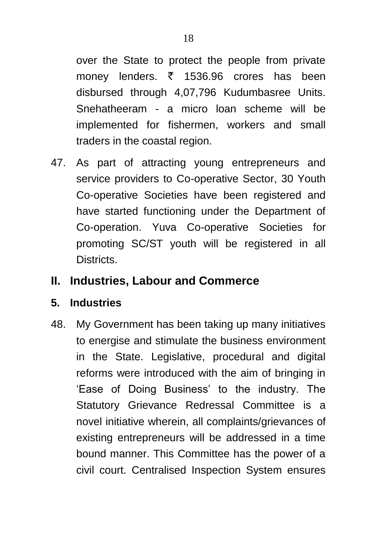over the State to protect the people from private money lenders.  $\bar{\tau}$  1536.96 crores has been disbursed through 4,07,796 Kudumbasree Units. Snehatheeram - a micro loan scheme will be implemented for fishermen, workers and small traders in the coastal region.

47. As part of attracting young entrepreneurs and service providers to Co-operative Sector, 30 Youth Co-operative Societies have been registered and have started functioning under the Department of Co-operation. Yuva Co-operative Societies for promoting SC/ST youth will be registered in all Districts.

## **II. Industries, Labour and Commerce**

### **5. Industries**

48. My Government has been taking up many initiatives to energise and stimulate the business environment in the State. Legislative, procedural and digital reforms were introduced with the aim of bringing in "Ease of Doing Business" to the industry. The Statutory Grievance Redressal Committee is a novel initiative wherein, all complaints/grievances of existing entrepreneurs will be addressed in a time bound manner. This Committee has the power of a civil court. Centralised Inspection System ensures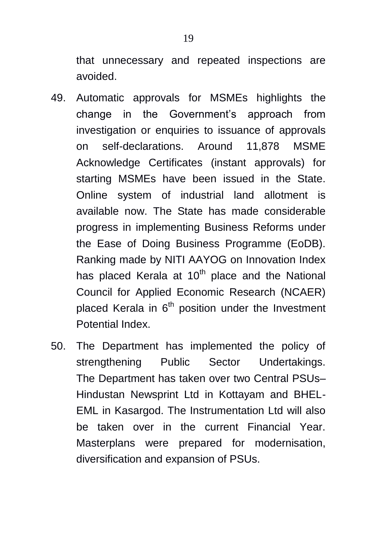that unnecessary and repeated inspections are avoided.

- 49. Automatic approvals for MSMEs highlights the change in the Government"s approach from investigation or enquiries to issuance of approvals on self-declarations. Around 11,878 MSME Acknowledge Certificates (instant approvals) for starting MSMEs have been issued in the State. Online system of industrial land allotment is available now. The State has made considerable progress in implementing Business Reforms under the Ease of Doing Business Programme (EoDB). Ranking made by NITI AAYOG on Innovation Index has placed Kerala at 10<sup>th</sup> place and the National Council for Applied Economic Research (NCAER) placed Kerala in  $6<sup>th</sup>$  position under the Investment Potential Index.
- 50. The Department has implemented the policy of strengthening Public Sector Undertakings. The Department has taken over two Central PSUs– Hindustan Newsprint Ltd in Kottayam and BHEL-EML in Kasargod. The Instrumentation Ltd will also be taken over in the current Financial Year. Masterplans were prepared for modernisation, diversification and expansion of PSUs.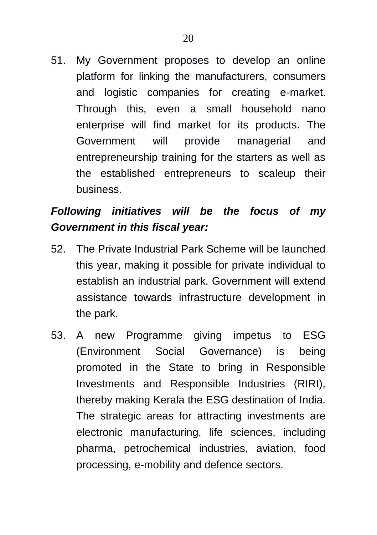platform for linking the manufacturers, consumers and logistic companies for creating e-market. Through this, even a small household nano enterprise will find market for its products. The Government will provide managerial and entrepreneurship training for the starters as well as the established entrepreneurs to scaleup their business.

# *Following initiatives will be the focus of my Government in this fiscal year:*

- 52. The Private Industrial Park Scheme will be launched this year, making it possible for private individual to establish an industrial park. Government will extend assistance towards infrastructure development in the park.
- 53. A new Programme giving impetus to ESG (Environment Social Governance) is being promoted in the State to bring in Responsible Investments and Responsible Industries (RIRI), thereby making Kerala the ESG destination of India. The strategic areas for attracting investments are electronic manufacturing, life sciences, including pharma, petrochemical industries, aviation, food processing, e-mobility and defence sectors.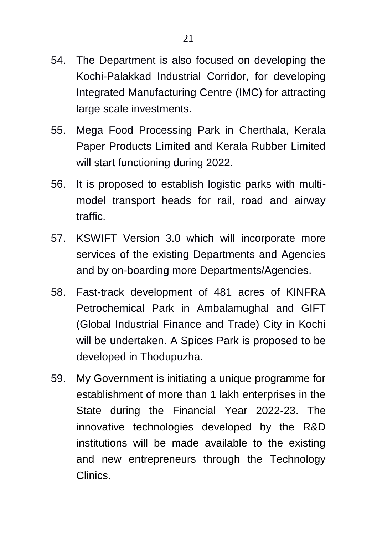- 54. The Department is also focused on developing the Kochi-Palakkad Industrial Corridor, for developing Integrated Manufacturing Centre (IMC) for attracting large scale investments.
- 55. Mega Food Processing Park in Cherthala, Kerala Paper Products Limited and Kerala Rubber Limited will start functioning during 2022.
- 56. It is proposed to establish logistic parks with multimodel transport heads for rail, road and airway traffic.
- 57. KSWIFT Version 3.0 which will incorporate more services of the existing Departments and Agencies and by on-boarding more Departments/Agencies.
- 58. Fast-track development of 481 acres of KINFRA Petrochemical Park in Ambalamughal and GIFT (Global Industrial Finance and Trade) City in Kochi will be undertaken. A Spices Park is proposed to be developed in Thodupuzha.
- 59. My Government is initiating a unique programme for establishment of more than 1 lakh enterprises in the State during the Financial Year 2022-23. The innovative technologies developed by the R&D institutions will be made available to the existing and new entrepreneurs through the Technology Clinics.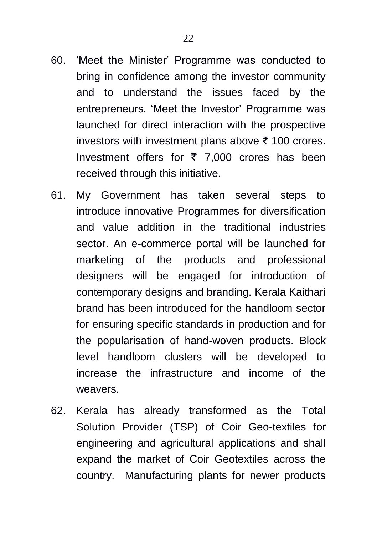- 60. "Meet the Minister" Programme was conducted to bring in confidence among the investor community and to understand the issues faced by the entrepreneurs. "Meet the Investor" Programme was launched for direct interaction with the prospective investors with investment plans above  $\bar{\tau}$  100 crores. Investment offers for  $\bar{\tau}$  7,000 crores has been received through this initiative.
- 61. My Government has taken several steps to introduce innovative Programmes for diversification and value addition in the traditional industries sector. An e-commerce portal will be launched for marketing of the products and professional designers will be engaged for introduction of contemporary designs and branding. Kerala Kaithari brand has been introduced for the handloom sector for ensuring specific standards in production and for the popularisation of hand-woven products. Block level handloom clusters will be developed to increase the infrastructure and income of the weavers.
- 62. Kerala has already transformed as the Total Solution Provider (TSP) of Coir Geo-textiles for engineering and agricultural applications and shall expand the market of Coir Geotextiles across the country. Manufacturing plants for newer products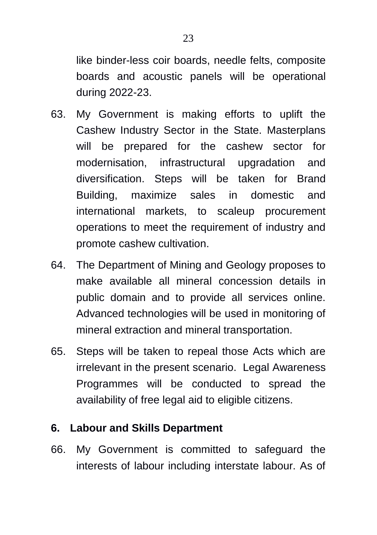like binder-less coir boards, needle felts, composite boards and acoustic panels will be operational during 2022-23.

- 63. My Government is making efforts to uplift the Cashew Industry Sector in the State. Masterplans will be prepared for the cashew sector for modernisation, infrastructural upgradation and diversification. Steps will be taken for Brand Building, maximize sales in domestic and international markets, to scaleup procurement operations to meet the requirement of industry and promote cashew cultivation.
- 64. The Department of Mining and Geology proposes to make available all mineral concession details in public domain and to provide all services online. Advanced technologies will be used in monitoring of mineral extraction and mineral transportation.
- 65. Steps will be taken to repeal those Acts which are irrelevant in the present scenario. Legal Awareness Programmes will be conducted to spread the availability of free legal aid to eligible citizens.

## **6. Labour and Skills Department**

66. My Government is committed to safeguard the interests of labour including interstate labour. As of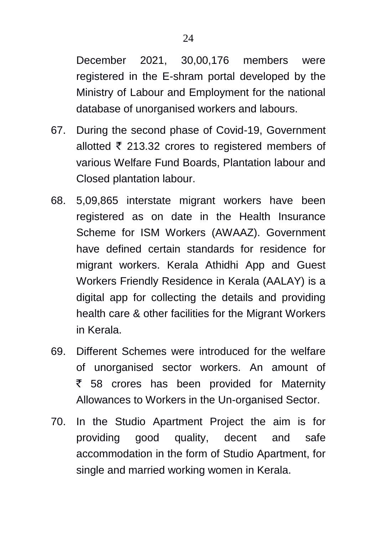December 2021, 30,00,176 members were registered in the E-shram portal developed by the Ministry of Labour and Employment for the national database of unorganised workers and labours.

- 67. During the second phase of Covid-19, Government allotted  $\bar{\tau}$  213.32 crores to registered members of various Welfare Fund Boards, Plantation labour and Closed plantation labour.
- 68. 5,09,865 interstate migrant workers have been registered as on date in the Health Insurance Scheme for ISM Workers (AWAAZ). Government have defined certain standards for residence for migrant workers. Kerala Athidhi App and Guest Workers Friendly Residence in Kerala (AALAY) is a digital app for collecting the details and providing health care & other facilities for the Migrant Workers in Kerala.
- 69. Different Schemes were introduced for the welfare of unorganised sector workers. An amount of  $\overline{5}$  58 crores has been provided for Maternity Allowances to Workers in the Un-organised Sector.
- 70. In the Studio Apartment Project the aim is for providing good quality, decent and safe accommodation in the form of Studio Apartment, for single and married working women in Kerala.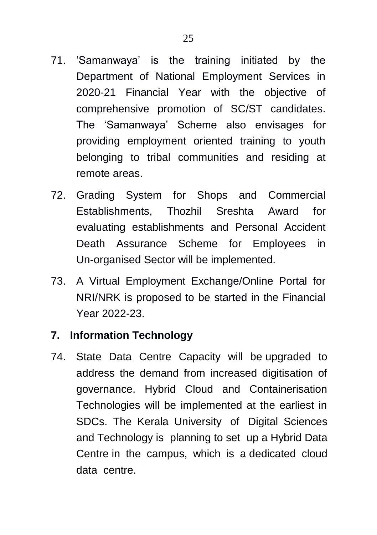- 71. "Samanwaya" is the training initiated by the Department of National Employment Services in 2020-21 Financial Year with the objective of comprehensive promotion of SC/ST candidates. The "Samanwaya" Scheme also envisages for providing employment oriented training to youth belonging to tribal communities and residing at
- 72. Grading System for Shops and Commercial Establishments, Thozhil Sreshta Award for evaluating establishments and Personal Accident Death Assurance Scheme for Employees in Un-organised Sector will be implemented.
- 73. A Virtual Employment Exchange/Online Portal for NRI/NRK is proposed to be started in the Financial Year 2022-23.

## **7. Information Technology**

remote areas.

74. State Data Centre Capacity will be upgraded to address the demand from increased digitisation of governance. Hybrid Cloud and Containerisation Technologies will be implemented at the earliest in SDCs. The Kerala University of Digital Sciences and Technology is planning to set up a Hybrid Data Centre in the campus, which is a dedicated cloud data centre.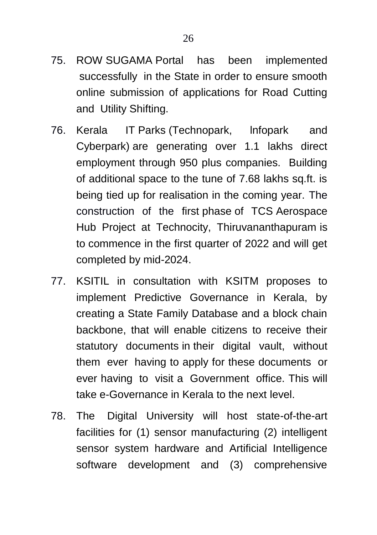- 75. ROW SUGAMA Portal has been implemented successfully in the State in order to ensure smooth online submission of applications for Road Cutting and Utility Shifting.
- 76. Kerala IT Parks (Technopark, lnfopark and Cyberpark) are generating over 1.1 lakhs direct employment through 950 plus companies. Building of additional space to the tune of 7.68 lakhs sq.ft. is being tied up for realisation in the coming year. The construction of the first phase of TCS Aerospace Hub Project at Technocity, Thiruvananthapuram is to commence in the first quarter of 2022 and will get completed by mid-2024.
- 77. KSITIL in consultation with KSITM proposes to implement Predictive Governance in Kerala, by creating a State Family Database and a block chain backbone, that will enable citizens to receive their statutory documents in their digital vault, without them ever having to apply for these documents or ever having to visit a Government office. This will take e-Governance in Kerala to the next level.
- 78. The Digital University will host state-of-the-art facilities for (1) sensor manufacturing (2) intelligent sensor system hardware and Artificial Intelligence software development and (3) comprehensive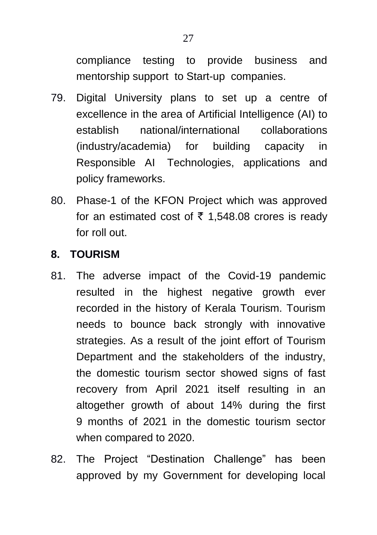compliance testing to provide business and mentorship support to Start-up companies.

- 79. Digital University plans to set up a centre of excellence in the area of Artificial Intelligence (AI) to establish national/international collaborations (industry/academia) for building capacity in Responsible AI Technologies, applications and policy frameworks.
- 80. Phase-1 of the KFON Project which was approved for an estimated cost of  $\bar{\tau}$  1,548.08 crores is ready for roll out.

### **8. TOURISM**

- 81. The adverse impact of the Covid-19 pandemic resulted in the highest negative growth ever recorded in the history of Kerala Tourism. Tourism needs to bounce back strongly with innovative strategies. As a result of the joint effort of Tourism Department and the stakeholders of the industry, the domestic tourism sector showed signs of fast recovery from April 2021 itself resulting in an altogether growth of about 14% during the first 9 months of 2021 in the domestic tourism sector when compared to 2020.
- 82. The Project "Destination Challenge" has been approved by my Government for developing local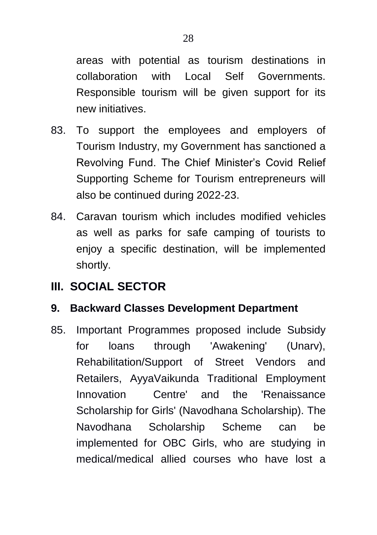areas with potential as tourism destinations in collaboration with Local Self Governments. Responsible tourism will be given support for its new initiatives.

- 83. To support the employees and employers of Tourism Industry, my Government has sanctioned a Revolving Fund. The Chief Minister"s Covid Relief Supporting Scheme for Tourism entrepreneurs will also be continued during 2022-23.
- 84. Caravan tourism which includes modified vehicles as well as parks for safe camping of tourists to enjoy a specific destination, will be implemented shortly.

# **III. SOCIAL SECTOR**

## **9. Backward Classes Development Department**

85. Important Programmes proposed include Subsidy for loans through 'Awakening' (Unarv), Rehabilitation/Support of Street Vendors and Retailers, AyyaVaikunda Traditional Employment Innovation Centre' and the 'Renaissance Scholarship for Girls' (Navodhana Scholarship). The Navodhana Scholarship Scheme can be implemented for OBC Girls, who are studying in medical/medical allied courses who have lost a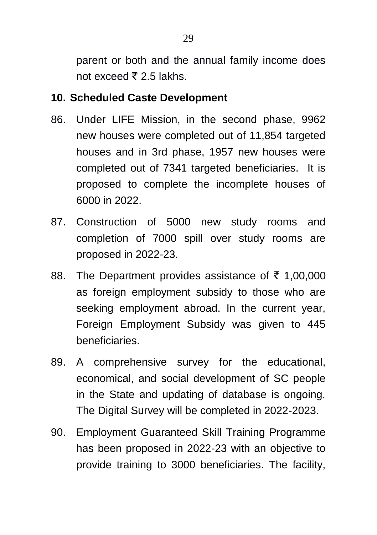parent or both and the annual family income does not exceed  $\bar{z}$  2.5 lakhs.

## **10. Scheduled Caste Development**

- 86. Under LIFE Mission, in the second phase, 9962 new houses were completed out of 11,854 targeted houses and in 3rd phase, 1957 new houses were completed out of 7341 targeted beneficiaries. It is proposed to complete the incomplete houses of 6000 in 2022.
- 87. Construction of 5000 new study rooms and completion of 7000 spill over study rooms are proposed in 2022-23.
- 88. The Department provides assistance of  $\bar{\tau}$  1,00,000 as foreign employment subsidy to those who are seeking employment abroad. In the current year, Foreign Employment Subsidy was given to 445 beneficiaries.
- 89. A comprehensive survey for the educational, economical, and social development of SC people in the State and updating of database is ongoing. The Digital Survey will be completed in 2022-2023.
- 90. Employment Guaranteed Skill Training Programme has been proposed in 2022-23 with an objective to provide training to 3000 beneficiaries. The facility,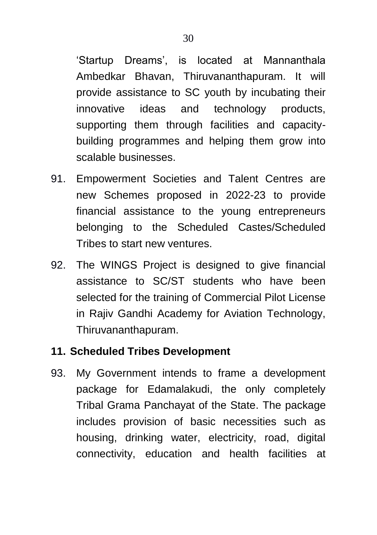"Startup Dreams", is located at Mannanthala Ambedkar Bhavan, Thiruvananthapuram. It will provide assistance to SC youth by incubating their innovative ideas and technology products, supporting them through facilities and capacitybuilding programmes and helping them grow into scalable businesses.

- 91. Empowerment Societies and Talent Centres are new Schemes proposed in 2022-23 to provide financial assistance to the young entrepreneurs belonging to the Scheduled Castes/Scheduled Tribes to start new ventures.
- 92. The WINGS Project is designed to give financial assistance to SC/ST students who have been selected for the training of Commercial Pilot License in Rajiv Gandhi Academy for Aviation Technology, Thiruvananthapuram.

### **11. Scheduled Tribes Development**

93. My Government intends to frame a development package for Edamalakudi, the only completely Tribal Grama Panchayat of the State. The package includes provision of basic necessities such as housing, drinking water, electricity, road, digital connectivity, education and health facilities at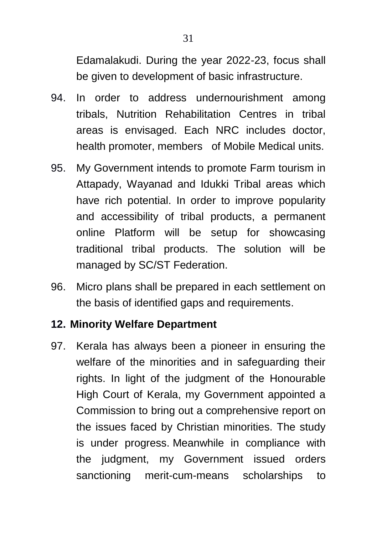Edamalakudi. During the year 2022-23, focus shall be given to development of basic infrastructure.

- 94. In order to address undernourishment among tribals, Nutrition Rehabilitation Centres in tribal areas is envisaged. Each NRC includes doctor, health promoter, members of Mobile Medical units.
- 95. My Government intends to promote Farm tourism in Attapady, Wayanad and Idukki Tribal areas which have rich potential. In order to improve popularity and accessibility of tribal products, a permanent online Platform will be setup for showcasing traditional tribal products. The solution will be managed by SC/ST Federation.
- 96. Micro plans shall be prepared in each settlement on the basis of identified gaps and requirements.

### **12. Minority Welfare Department**

97. Kerala has always been a pioneer in ensuring the welfare of the minorities and in safeguarding their rights. In light of the judgment of the Honourable High Court of Kerala, my Government appointed a Commission to bring out a comprehensive report on the issues faced by Christian minorities. The study is under progress. Meanwhile in compliance with the judgment, my Government issued orders sanctioning merit-cum-means scholarships to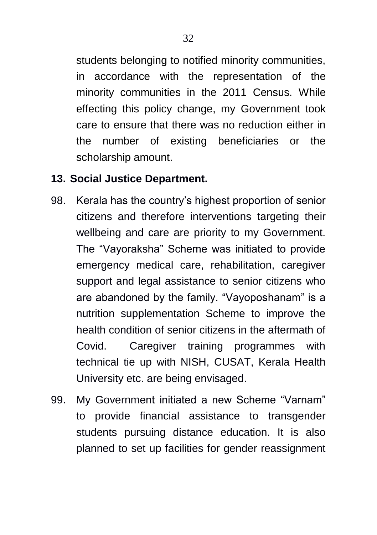students belonging to notified minority communities, in accordance with the representation of the minority communities in the 2011 Census. While effecting this policy change, my Government took care to ensure that there was no reduction either in the number of existing beneficiaries or the scholarship amount.

## **13. Social Justice Department.**

- 98. Kerala has the country"s highest proportion of senior citizens and therefore interventions targeting their wellbeing and care are priority to my Government. The "Vayoraksha" Scheme was initiated to provide emergency medical care, rehabilitation, caregiver support and legal assistance to senior citizens who are abandoned by the family. "Vayoposhanam" is a nutrition supplementation Scheme to improve the health condition of senior citizens in the aftermath of Covid. Caregiver training programmes with technical tie up with NISH, CUSAT, Kerala Health University etc. are being envisaged.
- 99. My Government initiated a new Scheme "Varnam" to provide financial assistance to transgender students pursuing distance education. It is also planned to set up facilities for gender reassignment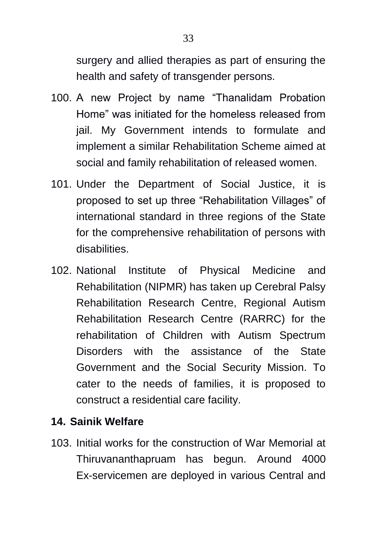surgery and allied therapies as part of ensuring the health and safety of transgender persons.

- 100. A new Project by name "Thanalidam Probation Home" was initiated for the homeless released from jail. My Government intends to formulate and implement a similar Rehabilitation Scheme aimed at social and family rehabilitation of released women.
- 101. Under the Department of Social Justice, it is proposed to set up three "Rehabilitation Villages" of international standard in three regions of the State for the comprehensive rehabilitation of persons with disabilities.
- 102. National Institute of Physical Medicine and Rehabilitation (NIPMR) has taken up Cerebral Palsy Rehabilitation Research Centre, Regional Autism Rehabilitation Research Centre (RARRC) for the rehabilitation of Children with Autism Spectrum Disorders with the assistance of the State Government and the Social Security Mission. To cater to the needs of families, it is proposed to construct a residential care facility.

## **14. Sainik Welfare**

103. Initial works for the construction of War Memorial at Thiruvananthapruam has begun. Around 4000 Ex-servicemen are deployed in various Central and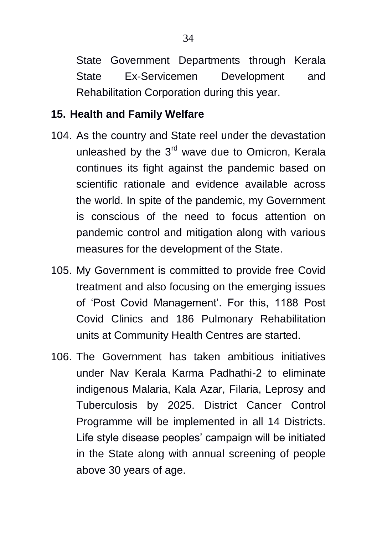State Government Departments through Kerala State Ex-Servicemen Development and Rehabilitation Corporation during this year.

### **15. Health and Family Welfare**

- 104. As the country and State reel under the devastation unleashed by the 3<sup>rd</sup> wave due to Omicron, Kerala continues its fight against the pandemic based on scientific rationale and evidence available across the world. In spite of the pandemic, my Government is conscious of the need to focus attention on pandemic control and mitigation along with various measures for the development of the State.
- 105. My Government is committed to provide free Covid treatment and also focusing on the emerging issues of "Post Covid Management". For this, 1188 Post Covid Clinics and 186 Pulmonary Rehabilitation units at Community Health Centres are started.
- 106. The Government has taken ambitious initiatives under Nav Kerala Karma Padhathi-2 to eliminate indigenous Malaria, Kala Azar, Filaria, Leprosy and Tuberculosis by 2025. District Cancer Control Programme will be implemented in all 14 Districts. Life style disease peoples' campaign will be initiated in the State along with annual screening of people above 30 years of age.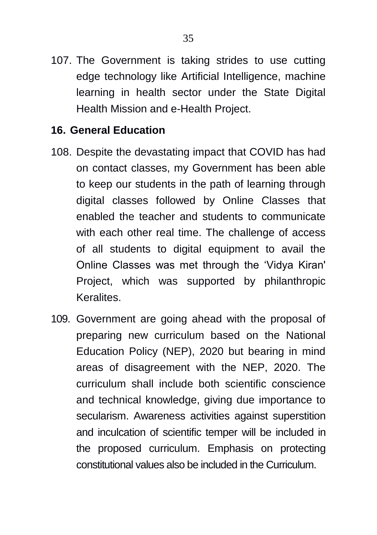107. The Government is taking strides to use cutting edge technology like Artificial Intelligence, machine learning in health sector under the State Digital Health Mission and e-Health Project.

### **16. General Education**

- 108. Despite the devastating impact that COVID has had on contact classes, my Government has been able to keep our students in the path of learning through digital classes followed by Online Classes that enabled the teacher and students to communicate with each other real time. The challenge of access of all students to digital equipment to avail the Online Classes was met through the "Vidya Kiran' Project, which was supported by philanthropic Keralites.
- 109. Government are going ahead with the proposal of preparing new curriculum based on the National Education Policy (NEP), 2020 but bearing in mind areas of disagreement with the NEP, 2020. The curriculum shall include both scientific conscience and technical knowledge, giving due importance to secularism. Awareness activities against superstition and inculcation of scientific temper will be included in the proposed curriculum. Emphasis on protecting constitutional values also be included in the Curriculum.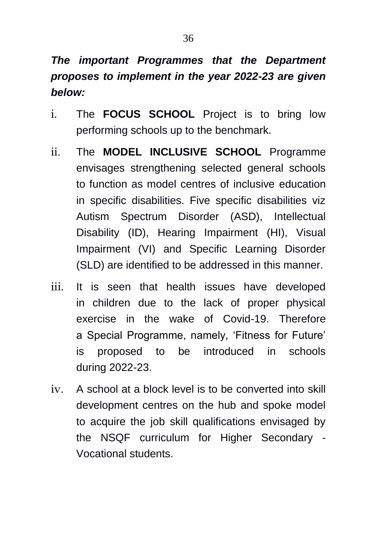# *The important Programmes that the Department proposes to implement in the year 2022-23 are given below:*

- i. The **FOCUS SCHOOL** Project is to bring low performing schools up to the benchmark.
- ii. The **MODEL INCLUSIVE SCHOOL** Programme envisages strengthening selected general schools to function as model centres of inclusive education in specific disabilities. Five specific disabilities viz Autism Spectrum Disorder (ASD), Intellectual Disability (ID), Hearing Impairment (HI), Visual Impairment (VI) and Specific Learning Disorder (SLD) are identified to be addressed in this manner.
- iii. It is seen that health issues have developed in children due to the lack of proper physical exercise in the wake of Covid-19. Therefore a Special Programme, namely, "Fitness for Future" is proposed to be introduced in schools during 2022-23.
- iv. A school at a block level is to be converted into skill development centres on the hub and spoke model to acquire the job skill qualifications envisaged by the NSQF curriculum for Higher Secondary - Vocational students.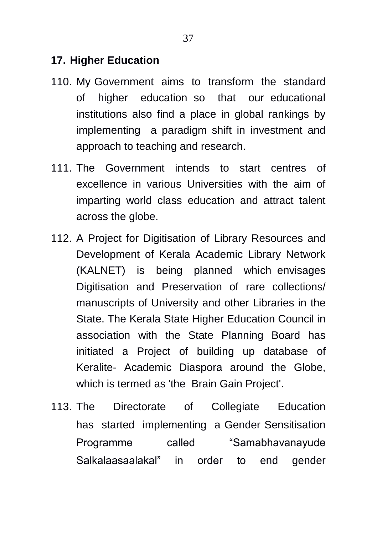## **17. Higher Education**

- 110. My Government aims to transform the standard of higher education so that our educational institutions also find a place in global rankings by implementing a paradigm shift in investment and approach to teaching and research.
- 111. The Government intends to start centres of excellence in various Universities with the aim of imparting world class education and attract talent across the globe.
- 112. A Project for Digitisation of Library Resources and Development of Kerala Academic Library Network (KALNET) is being planned which envisages Digitisation and Preservation of rare collections/ manuscripts of University and other Libraries in the State. The Kerala State Higher Education Council in association with the State Planning Board has initiated a Project of building up database of Keralite- Academic Diaspora around the Globe, which is termed as 'the Brain Gain Project'.
- 113. The Directorate of Collegiate Education has started implementing a Gender Sensitisation Programme called "Samabhavanayude Salkalaasaalakal" in order to end gender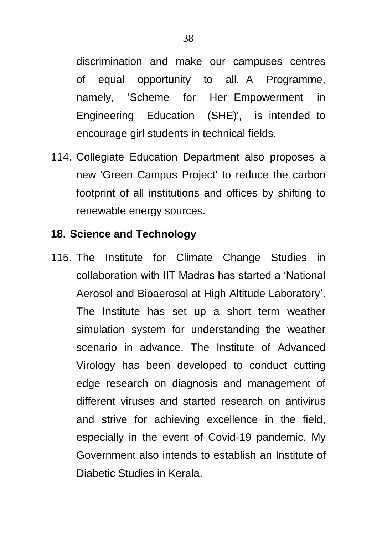discrimination and make our campuses centres of equal opportunity to all. A Programme, namely, 'Scheme for Her Empowerment in Engineering Education (SHE)', is intended to encourage girl students in technical fields.

114. Collegiate Education Department also proposes a new 'Green Campus Project' to reduce the carbon footprint of all institutions and offices by shifting to renewable energy sources.

#### **18. Science and Technology**

115. The Institute for Climate Change Studies in collaboration with IIT Madras has started a "National Aerosol and Bioaerosol at High Altitude Laboratory". The Institute has set up a short term weather simulation system for understanding the weather scenario in advance. The Institute of Advanced Virology has been developed to conduct cutting edge research on diagnosis and management of different viruses and started research on antivirus and strive for achieving excellence in the field, especially in the event of Covid-19 pandemic. My Government also intends to establish an Institute of Diabetic Studies in Kerala.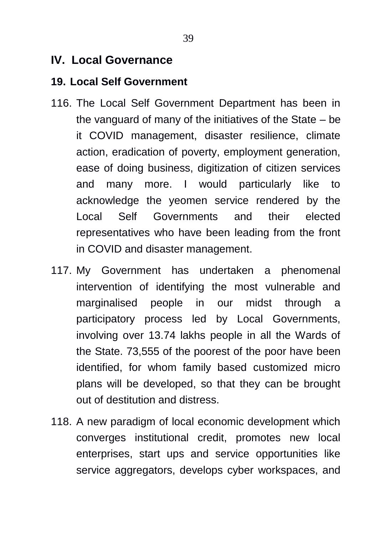# **IV. Local Governance**

#### **19. Local Self Government**

- 116. The Local Self Government Department has been in the vanguard of many of the initiatives of the State – be it COVID management, disaster resilience, climate action, eradication of poverty, employment generation, ease of doing business, digitization of citizen services and many more. I would particularly like to acknowledge the yeomen service rendered by the Local Self Governments and their elected representatives who have been leading from the front in COVID and disaster management.
- 117. My Government has undertaken a phenomenal intervention of identifying the most vulnerable and marginalised people in our midst through a participatory process led by Local Governments, involving over 13.74 lakhs people in all the Wards of the State. 73,555 of the poorest of the poor have been identified, for whom family based customized micro plans will be developed, so that they can be brought out of destitution and distress.
- 118. A new paradigm of local economic development which converges institutional credit, promotes new local enterprises, start ups and service opportunities like service aggregators, develops cyber workspaces, and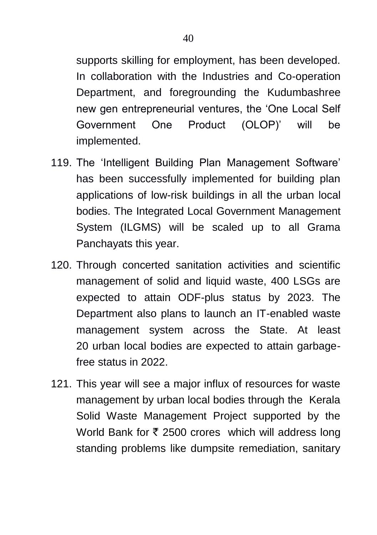supports skilling for employment, has been developed. In collaboration with the Industries and Co-operation Department, and foregrounding the Kudumbashree new gen entrepreneurial ventures, the "One Local Self Government One Product (OLOP)' will be implemented.

- 119. The 'Intelligent Building Plan Management Software' has been successfully implemented for building plan applications of low-risk buildings in all the urban local bodies. The Integrated Local Government Management System (ILGMS) will be scaled up to all Grama Panchayats this year.
- 120. Through concerted sanitation activities and scientific management of solid and liquid waste, 400 LSGs are expected to attain ODF-plus status by 2023. The Department also plans to launch an IT-enabled waste management system across the State. At least 20 urban local bodies are expected to attain garbagefree status in 2022.
- 121. This year will see a major influx of resources for waste management by urban local bodies through the Kerala Solid Waste Management Project supported by the World Bank for  $\bar{\tau}$  2500 crores which will address long standing problems like dumpsite remediation, sanitary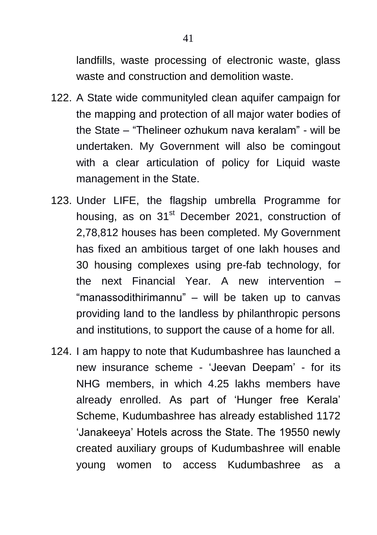landfills, waste processing of electronic waste, glass waste and construction and demolition waste.

- 122. A State wide communityled clean aquifer campaign for the mapping and protection of all major water bodies of the State – "Thelineer ozhukum nava keralam" - will be undertaken. My Government will also be comingout with a clear articulation of policy for Liquid waste management in the State.
- 123. Under LIFE, the flagship umbrella Programme for housing, as on 31<sup>st</sup> December 2021, construction of 2,78,812 houses has been completed. My Government has fixed an ambitious target of one lakh houses and 30 housing complexes using pre-fab technology, for the next Financial Year. A new intervention – "manassodithirimannu" – will be taken up to canvas providing land to the landless by philanthropic persons and institutions, to support the cause of a home for all.
- 124. I am happy to note that Kudumbashree has launched a new insurance scheme - "Jeevan Deepam" - for its NHG members, in which 4.25 lakhs members have already enrolled. As part of "Hunger free Kerala" Scheme, Kudumbashree has already established 1172 "Janakeeya" Hotels across the State. The 19550 newly created auxiliary groups of Kudumbashree will enable young women to access Kudumbashree as a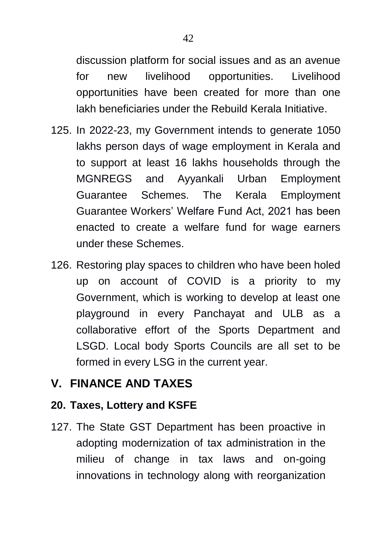discussion platform for social issues and as an avenue for new livelihood opportunities. Livelihood opportunities have been created for more than one lakh beneficiaries under the Rebuild Kerala Initiative.

- 125. In 2022-23, my Government intends to generate 1050 lakhs person days of wage employment in Kerala and to support at least 16 lakhs households through the MGNREGS and Ayyankali Urban Employment Guarantee Schemes. The Kerala Employment Guarantee Workers" Welfare Fund Act, 2021 has been enacted to create a welfare fund for wage earners under these Schemes.
- 126. Restoring play spaces to children who have been holed up on account of COVID is a priority to my Government, which is working to develop at least one playground in every Panchayat and ULB as a collaborative effort of the Sports Department and LSGD. Local body Sports Councils are all set to be formed in every LSG in the current year.

# **V. FINANCE AND TAXES**

### **20. Taxes, Lottery and KSFE**

127. The State GST Department has been proactive in adopting modernization of tax administration in the milieu of change in tax laws and on-going innovations in technology along with reorganization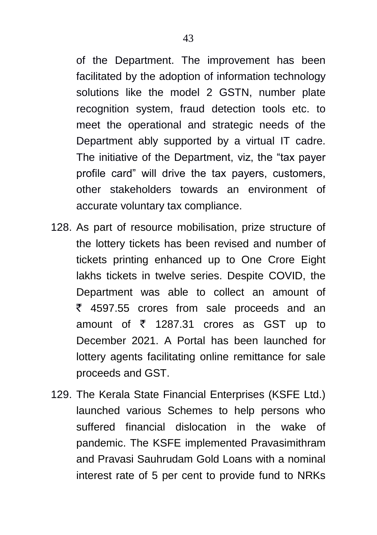of the Department. The improvement has been facilitated by the adoption of information technology solutions like the model 2 GSTN, number plate recognition system, fraud detection tools etc. to meet the operational and strategic needs of the Department ably supported by a virtual IT cadre. The initiative of the Department, viz, the "tax payer profile card" will drive the tax payers, customers, other stakeholders towards an environment of accurate voluntary tax compliance.

- 128. As part of resource mobilisation, prize structure of the lottery tickets has been revised and number of tickets printing enhanced up to One Crore Eight lakhs tickets in twelve series. Despite COVID, the Department was able to collect an amount of  $\bar{\zeta}$  4597.55 crores from sale proceeds and an amount of  $\bar{\tau}$  1287.31 crores as GST up to December 2021. A Portal has been launched for lottery agents facilitating online remittance for sale proceeds and GST.
- 129. The Kerala State Financial Enterprises (KSFE Ltd.) launched various Schemes to help persons who suffered financial dislocation in the wake of pandemic. The KSFE implemented Pravasimithram and Pravasi Sauhrudam Gold Loans with a nominal interest rate of 5 per cent to provide fund to NRKs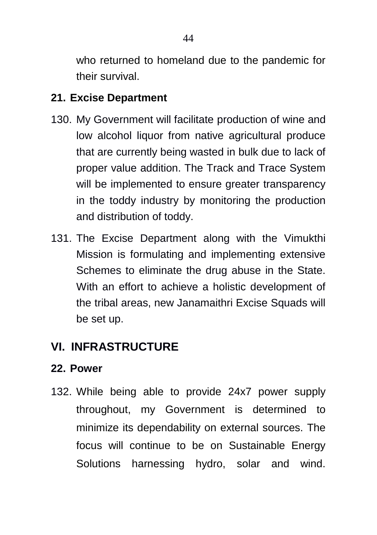who returned to homeland due to the pandemic for their survival.

# **21. Excise Department**

- 130. My Government will facilitate production of wine and low alcohol liquor from native agricultural produce that are currently being wasted in bulk due to lack of proper value addition. The Track and Trace System will be implemented to ensure greater transparency in the toddy industry by monitoring the production and distribution of toddy.
- 131. The Excise Department along with the Vimukthi Mission is formulating and implementing extensive Schemes to eliminate the drug abuse in the State. With an effort to achieve a holistic development of the tribal areas, new Janamaithri Excise Squads will be set up.

# **VI. INFRASTRUCTURE**

# **22. Power**

132. While being able to provide 24x7 power supply throughout, my Government is determined to minimize its dependability on external sources. The focus will continue to be on Sustainable Energy Solutions harnessing hydro, solar and wind.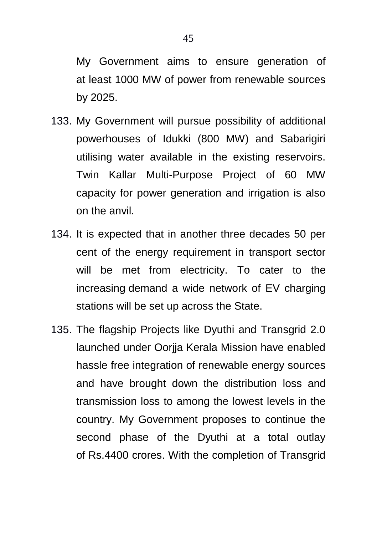My Government aims to ensure generation of at least 1000 MW of power from renewable sources by 2025.

- 133. My Government will pursue possibility of additional powerhouses of Idukki (800 MW) and Sabarigiri utilising water available in the existing reservoirs. Twin Kallar Multi-Purpose Project of 60 MW capacity for power generation and irrigation is also on the anvil.
- 134. It is expected that in another three decades 50 per cent of the energy requirement in transport sector will be met from electricity. To cater to the increasing demand a wide network of EV charging stations will be set up across the State.
- 135. The flagship Projects like Dyuthi and Transgrid 2.0 launched under Oorjja Kerala Mission have enabled hassle free integration of renewable energy sources and have brought down the distribution loss and transmission loss to among the lowest levels in the country. My Government proposes to continue the second phase of the Dyuthi at a total outlay of Rs.4400 crores. With the completion of Transgrid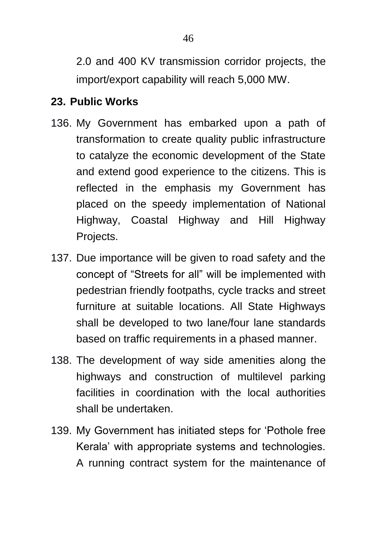2.0 and 400 KV transmission corridor projects, the import/export capability will reach 5,000 MW.

### **23. Public Works**

- 136. My Government has embarked upon a path of transformation to create quality public infrastructure to catalyze the economic development of the State and extend good experience to the citizens. This is reflected in the emphasis my Government has placed on the speedy implementation of National Highway, Coastal Highway and Hill Highway Projects.
- 137. Due importance will be given to road safety and the concept of "Streets for all" will be implemented with pedestrian friendly footpaths, cycle tracks and street furniture at suitable locations. All State Highways shall be developed to two lane/four lane standards based on traffic requirements in a phased manner.
- 138. The development of way side amenities along the highways and construction of multilevel parking facilities in coordination with the local authorities shall be undertaken.
- 139. My Government has initiated steps for "Pothole free Kerala" with appropriate systems and technologies. A running contract system for the maintenance of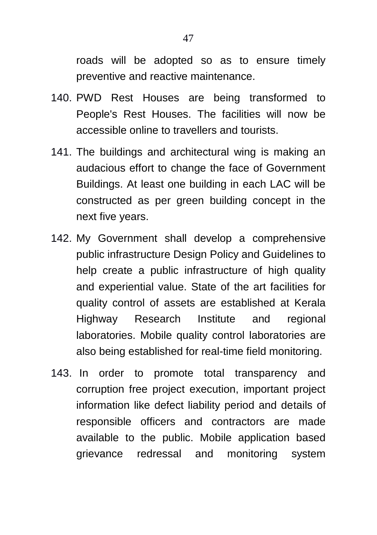roads will be adopted so as to ensure timely preventive and reactive maintenance.

- 140. PWD Rest Houses are being transformed to People's Rest Houses. The facilities will now be accessible online to travellers and tourists.
- 141. The buildings and architectural wing is making an audacious effort to change the face of Government Buildings. At least one building in each LAC will be constructed as per green building concept in the next five years.
- 142. My Government shall develop a comprehensive public infrastructure Design Policy and Guidelines to help create a public infrastructure of high quality and experiential value. State of the art facilities for quality control of assets are established at Kerala Highway Research Institute and regional laboratories. Mobile quality control laboratories are also being established for real-time field monitoring.
- 143. In order to promote total transparency and corruption free project execution, important project information like defect liability period and details of responsible officers and contractors are made available to the public. Mobile application based grievance redressal and monitoring system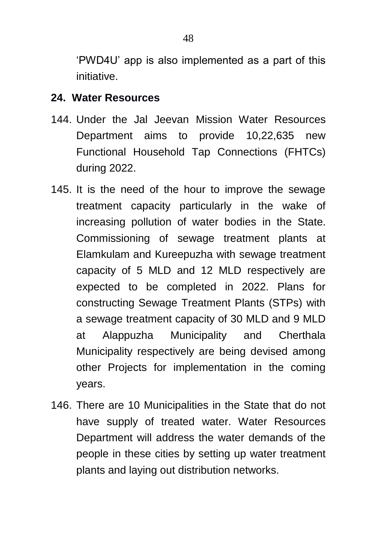"PWD4U" app is also implemented as a part of this initiative.

### **24. Water Resources**

- 144. Under the Jal Jeevan Mission Water Resources Department aims to provide 10,22,635 new Functional Household Tap Connections (FHTCs) during 2022.
- 145. It is the need of the hour to improve the sewage treatment capacity particularly in the wake of increasing pollution of water bodies in the State. Commissioning of sewage treatment plants at Elamkulam and Kureepuzha with sewage treatment capacity of 5 MLD and 12 MLD respectively are expected to be completed in 2022. Plans for constructing Sewage Treatment Plants (STPs) with a sewage treatment capacity of 30 MLD and 9 MLD at Alappuzha Municipality and Cherthala Municipality respectively are being devised among other Projects for implementation in the coming years.
- 146. There are 10 Municipalities in the State that do not have supply of treated water. Water Resources Department will address the water demands of the people in these cities by setting up water treatment plants and laying out distribution networks.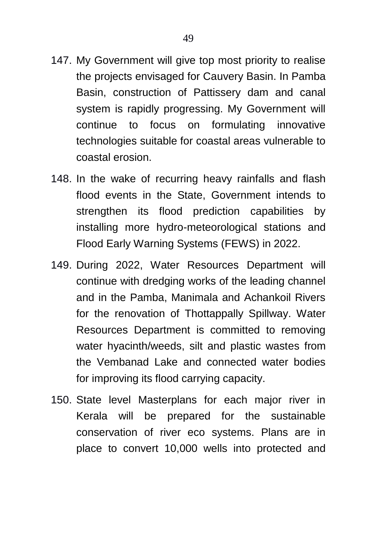- 147. My Government will give top most priority to realise the projects envisaged for Cauvery Basin. In Pamba Basin, construction of Pattissery dam and canal system is rapidly progressing. My Government will continue to focus on formulating innovative technologies suitable for coastal areas vulnerable to coastal erosion.
- 148. In the wake of recurring heavy rainfalls and flash flood events in the State, Government intends to strengthen its flood prediction capabilities by installing more hydro-meteorological stations and Flood Early Warning Systems (FEWS) in 2022.
- 149. During 2022, Water Resources Department will continue with dredging works of the leading channel and in the Pamba, Manimala and Achankoil Rivers for the renovation of Thottappally Spillway. Water Resources Department is committed to removing water hyacinth/weeds, silt and plastic wastes from the Vembanad Lake and connected water bodies for improving its flood carrying capacity.
- 150. State level Masterplans for each major river in Kerala will be prepared for the sustainable conservation of river eco systems. Plans are in place to convert 10,000 wells into protected and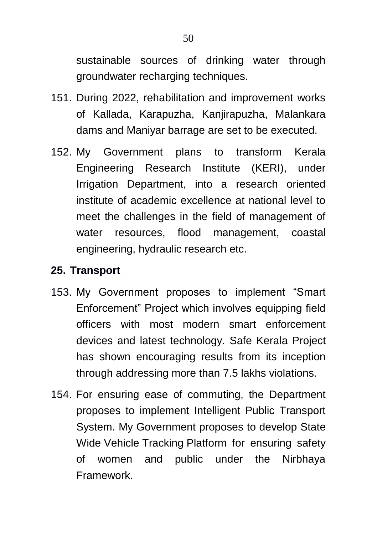sustainable sources of drinking water through groundwater recharging techniques.

- 151. During 2022, rehabilitation and improvement works of Kallada, Karapuzha, Kanjirapuzha, Malankara dams and Maniyar barrage are set to be executed.
- 152. My Government plans to transform Kerala Engineering Research Institute (KERI), under Irrigation Department, into a research oriented institute of academic excellence at national level to meet the challenges in the field of management of water resources, flood management, coastal engineering, hydraulic research etc.

### **25. Transport**

- 153. My Government proposes to implement "Smart Enforcement" Project which involves equipping field officers with most modern smart enforcement devices and latest technology. Safe Kerala Project has shown encouraging results from its inception through addressing more than 7.5 lakhs violations.
- 154. For ensuring ease of commuting, the Department proposes to implement Intelligent Public Transport System. My Government proposes to develop State Wide Vehicle Tracking Platform for ensuring safety of women and public under the Nirbhaya Framework.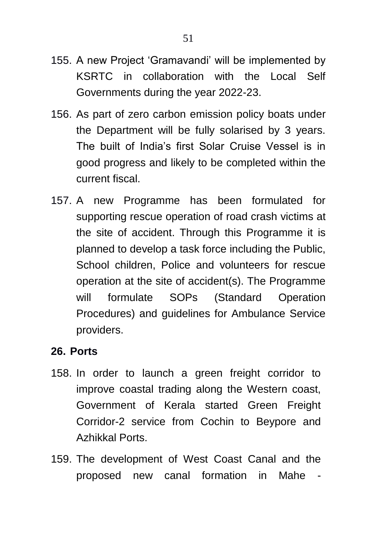- 155. A new Project "Gramavandi" will be implemented by KSRTC in collaboration with the Local Self Governments during the year 2022-23.
- 156. As part of zero carbon emission policy boats under the Department will be fully solarised by 3 years. The built of India"s first Solar Cruise Vessel is in good progress and likely to be completed within the current fiscal.
- 157. A new Programme has been formulated for supporting rescue operation of road crash victims at the site of accident. Through this Programme it is planned to develop a task force including the Public, School children, Police and volunteers for rescue operation at the site of accident(s). The Programme will formulate SOPs (Standard Operation Procedures) and guidelines for Ambulance Service providers.

### **26. Ports**

- 158. In order to launch a green freight corridor to improve coastal trading along the Western coast, Government of Kerala started Green Freight Corridor-2 service from Cochin to Beypore and Azhikkal Ports.
- 159. The development of West Coast Canal and the proposed new canal formation in Mahe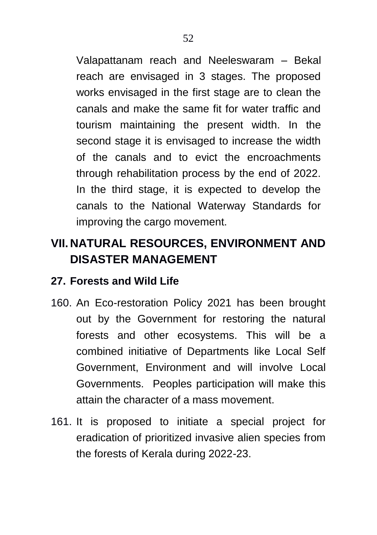Valapattanam reach and Neeleswaram – Bekal reach are envisaged in 3 stages. The proposed works envisaged in the first stage are to clean the canals and make the same fit for water traffic and tourism maintaining the present width. In the second stage it is envisaged to increase the width of the canals and to evict the encroachments through rehabilitation process by the end of 2022. In the third stage, it is expected to develop the canals to the National Waterway Standards for improving the cargo movement.

# **VII. NATURAL RESOURCES, ENVIRONMENT AND DISASTER MANAGEMENT**

## **27. Forests and Wild Life**

- 160. An Eco-restoration Policy 2021 has been brought out by the Government for restoring the natural forests and other ecosystems. This will be a combined initiative of Departments like Local Self Government, Environment and will involve Local Governments. Peoples participation will make this attain the character of a mass movement.
- 161. It is proposed to initiate a special project for eradication of prioritized invasive alien species from the forests of Kerala during 2022-23.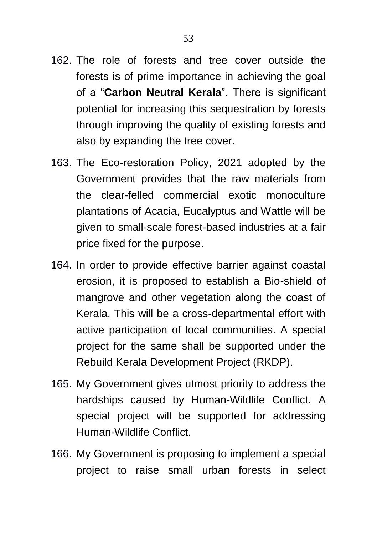- 162. The role of forests and tree cover outside the forests is of prime importance in achieving the goal of a "**Carbon Neutral Kerala**". There is significant potential for increasing this sequestration by forests through improving the quality of existing forests and also by expanding the tree cover.
- 163. The Eco-restoration Policy, 2021 adopted by the Government provides that the raw materials from the clear-felled commercial exotic monoculture plantations of Acacia, Eucalyptus and Wattle will be given to small-scale forest-based industries at a fair price fixed for the purpose.
- 164. In order to provide effective barrier against coastal erosion, it is proposed to establish a Bio-shield of mangrove and other vegetation along the coast of Kerala. This will be a cross-departmental effort with active participation of local communities. A special project for the same shall be supported under the Rebuild Kerala Development Project (RKDP).
- 165. My Government gives utmost priority to address the hardships caused by Human-Wildlife Conflict. A special project will be supported for addressing Human-Wildlife Conflict.
- 166. My Government is proposing to implement a special project to raise small urban forests in select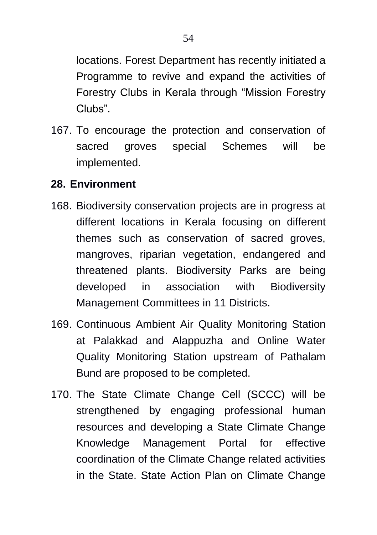locations. Forest Department has recently initiated a Programme to revive and expand the activities of Forestry Clubs in Kerala through "Mission Forestry Clubs".

167. To encourage the protection and conservation of sacred groves special Schemes will be implemented.

### **28. Environment**

- 168. Biodiversity conservation projects are in progress at different locations in Kerala focusing on different themes such as conservation of sacred groves, mangroves, riparian vegetation, endangered and threatened plants. Biodiversity Parks are being developed in association with Biodiversity Management Committees in 11 Districts.
- 169. Continuous Ambient Air Quality Monitoring Station at Palakkad and Alappuzha and Online Water Quality Monitoring Station upstream of Pathalam Bund are proposed to be completed.
- 170. The State Climate Change Cell (SCCC) will be strengthened by engaging professional human resources and developing a State Climate Change Knowledge Management Portal for effective coordination of the Climate Change related activities in the State. State Action Plan on Climate Change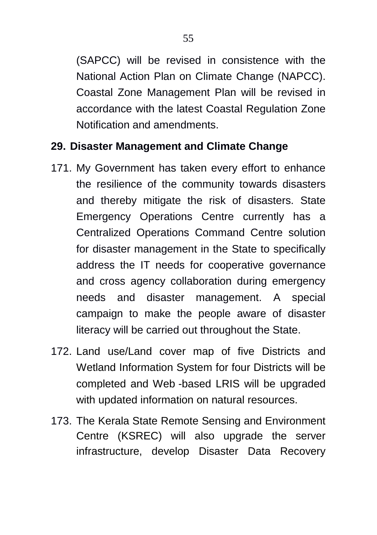(SAPCC) will be revised in consistence with the National Action Plan on Climate Change (NAPCC). Coastal Zone Management Plan will be revised in accordance with the latest Coastal Regulation Zone Notification and amendments.

## **29. Disaster Management and Climate Change**

- 171. My Government has taken every effort to enhance the resilience of the community towards disasters and thereby mitigate the risk of disasters. State Emergency Operations Centre currently has a Centralized Operations Command Centre solution for disaster management in the State to specifically address the IT needs for cooperative governance and cross agency collaboration during emergency needs and disaster management. A special campaign to make the people aware of disaster literacy will be carried out throughout the State.
- 172. Land use/Land cover map of five Districts and Wetland Information System for four Districts will be completed and Web -based LRIS will be upgraded with updated information on natural resources.
- 173. The Kerala State Remote Sensing and Environment Centre (KSREC) will also upgrade the server infrastructure, develop Disaster Data Recovery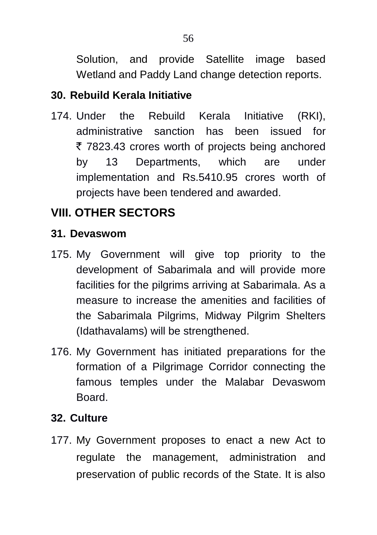Solution, and provide Satellite image based Wetland and Paddy Land change detection reports.

# **30. Rebuild Kerala Initiative**

174. Under the Rebuild Kerala Initiative (RKI), administrative sanction has been issued for ₹ 7823.43 crores worth of projects being anchored by 13 Departments, which are under implementation and Rs.5410.95 crores worth of projects have been tendered and awarded.

# **VIII. OTHER SECTORS**

## **31. Devaswom**

- 175. My Government will give top priority to the development of Sabarimala and will provide more facilities for the pilgrims arriving at Sabarimala. As a measure to increase the amenities and facilities of the Sabarimala Pilgrims, Midway Pilgrim Shelters (Idathavalams) will be strengthened.
- 176. My Government has initiated preparations for the formation of a Pilgrimage Corridor connecting the famous temples under the Malabar Devaswom Board.

# **32. Culture**

177. My Government proposes to enact a new Act to regulate the management, administration and preservation of public records of the State. It is also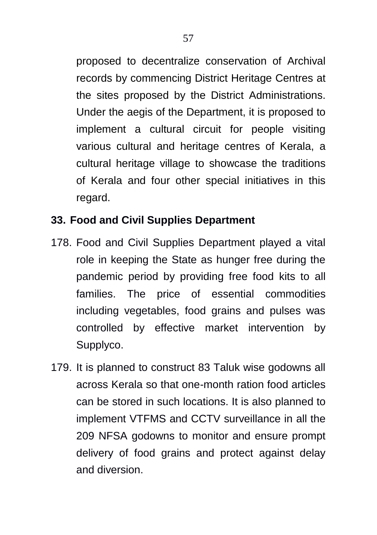proposed to decentralize conservation of Archival records by commencing District Heritage Centres at the sites proposed by the District Administrations. Under the aegis of the Department, it is proposed to implement a cultural circuit for people visiting various cultural and heritage centres of Kerala, a cultural heritage village to showcase the traditions of Kerala and four other special initiatives in this regard.

## **33. Food and Civil Supplies Department**

- 178. Food and Civil Supplies Department played a vital role in keeping the State as hunger free during the pandemic period by providing free food kits to all families. The price of essential commodities including vegetables, food grains and pulses was controlled by effective market intervention by Supplyco.
- 179. It is planned to construct 83 Taluk wise godowns all across Kerala so that one-month ration food articles can be stored in such locations. It is also planned to implement VTFMS and CCTV surveillance in all the 209 NFSA godowns to monitor and ensure prompt delivery of food grains and protect against delay and diversion.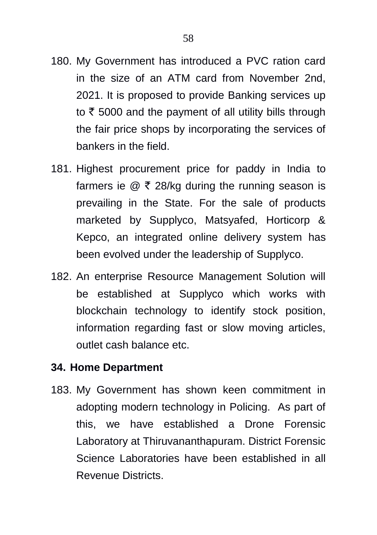- 180. My Government has introduced a PVC ration card in the size of an ATM card from November 2nd, 2021. It is proposed to provide Banking services up to  $\bar{\tau}$  5000 and the payment of all utility bills through the fair price shops by incorporating the services of bankers in the field.
- 181. Highest procurement price for paddy in India to farmers ie  $\oslash$  ₹ 28/kg during the running season is prevailing in the State. For the sale of products marketed by Supplyco, Matsyafed, Horticorp & Kepco, an integrated online delivery system has been evolved under the leadership of Supplyco.
- 182. An enterprise Resource Management Solution will be established at Supplyco which works with blockchain technology to identify stock position, information regarding fast or slow moving articles, outlet cash balance etc.

### **34. Home Department**

183. My Government has shown keen commitment in adopting modern technology in Policing. As part of this, we have established a Drone Forensic Laboratory at Thiruvananthapuram. District Forensic Science Laboratories have been established in all Revenue Districts.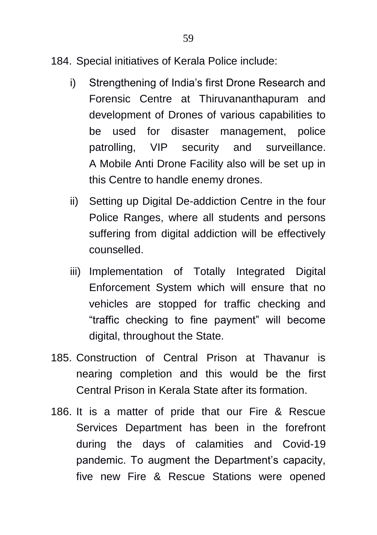- 184. Special initiatives of Kerala Police include:
	- i) Strengthening of India"s first Drone Research and Forensic Centre at Thiruvananthapuram and development of Drones of various capabilities to be used for disaster management, police patrolling, VIP security and surveillance. A Mobile Anti Drone Facility also will be set up in this Centre to handle enemy drones.
	- ii) Setting up Digital De-addiction Centre in the four Police Ranges, where all students and persons suffering from digital addiction will be effectively counselled.
	- iii) Implementation of Totally Integrated Digital Enforcement System which will ensure that no vehicles are stopped for traffic checking and "traffic checking to fine payment" will become digital, throughout the State.
- 185. Construction of Central Prison at Thavanur is nearing completion and this would be the first Central Prison in Kerala State after its formation.
- 186. It is a matter of pride that our Fire & Rescue Services Department has been in the forefront during the days of calamities and Covid-19 pandemic. To augment the Department's capacity, five new Fire & Rescue Stations were opened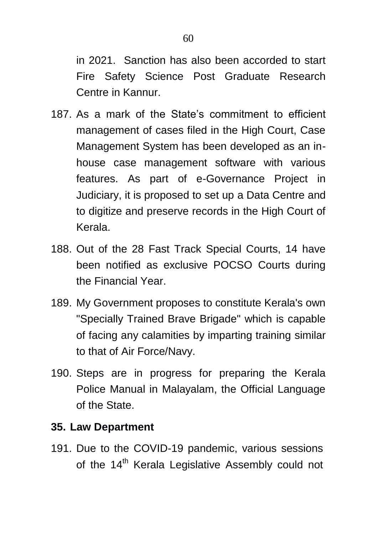in 2021. Sanction has also been accorded to start Fire Safety Science Post Graduate Research Centre in Kannur.

- 187. As a mark of the State"s commitment to efficient management of cases filed in the High Court, Case Management System has been developed as an inhouse case management software with various features. As part of e-Governance Project in Judiciary, it is proposed to set up a Data Centre and to digitize and preserve records in the High Court of Kerala.
- 188. Out of the 28 Fast Track Special Courts, 14 have been notified as exclusive POCSO Courts during the Financial Year.
- 189. My Government proposes to constitute Kerala's own "Specially Trained Brave Brigade" which is capable of facing any calamities by imparting training similar to that of Air Force/Navy.
- 190. Steps are in progress for preparing the Kerala Police Manual in Malayalam, the Official Language of the State.

### **35. Law Department**

191. Due to the COVID-19 pandemic, various sessions of the 14<sup>th</sup> Kerala Legislative Assembly could not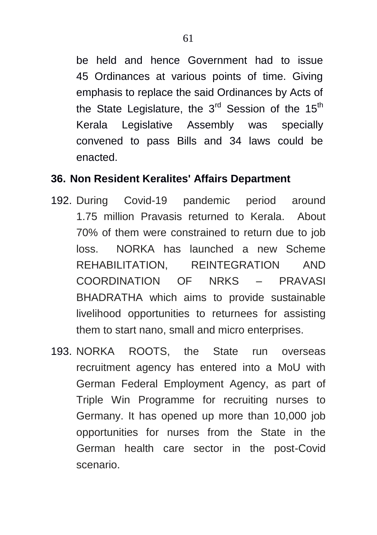be held and hence Government had to issue 45 Ordinances at various points of time. Giving emphasis to replace the said Ordinances by Acts of the State Legislature, the  $3<sup>rd</sup>$  Session of the  $15<sup>th</sup>$ Kerala Legislative Assembly was specially convened to pass Bills and 34 laws could be enacted.

#### **36. Non Resident Keralites' Affairs Department**

- 192. During Covid-19 pandemic period around 1.75 million Pravasis returned to Kerala. About 70% of them were constrained to return due to job loss. NORKA has launched a new Scheme REHABILITATION, REINTEGRATION AND COORDINATION OF NRKS – PRAVASI BHADRATHA which aims to provide sustainable livelihood opportunities to returnees for assisting them to start nano, small and micro enterprises.
- 193. NORKA ROOTS, the State run overseas recruitment agency has entered into a MoU with German Federal Employment Agency, as part of Triple Win Programme for recruiting nurses to Germany. It has opened up more than 10,000 job opportunities for nurses from the State in the German health care sector in the post-Covid scenario.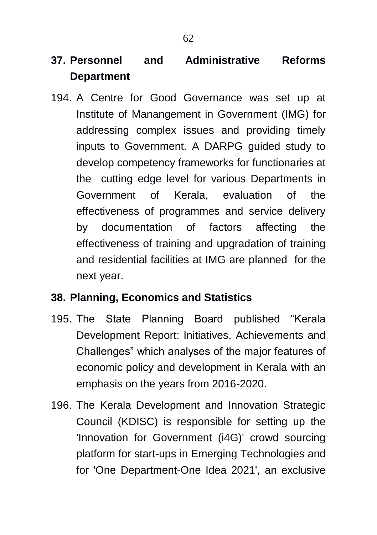# **37. Personnel and Administrative Reforms Department**

194. A Centre for Good Governance was set up at Institute of Manangement in Government (IMG) for addressing complex issues and providing timely inputs to Government. A DARPG guided study to develop competency frameworks for functionaries at the cutting edge level for various Departments in Government of Kerala, evaluation of the effectiveness of programmes and service delivery by documentation of factors affecting the effectiveness of training and upgradation of training and residential facilities at IMG are planned for the next year.

# **38. Planning, Economics and Statistics**

- 195. The State Planning Board published "Kerala Development Report: Initiatives, Achievements and Challenges" which analyses of the major features of economic policy and development in Kerala with an emphasis on the years from 2016-2020.
- 196. The Kerala Development and Innovation Strategic Council (KDISC) is responsible for setting up the 'Innovation for Government (i4G)' crowd sourcing platform for start-ups in Emerging Technologies and for 'One Department-One Idea 2021', an exclusive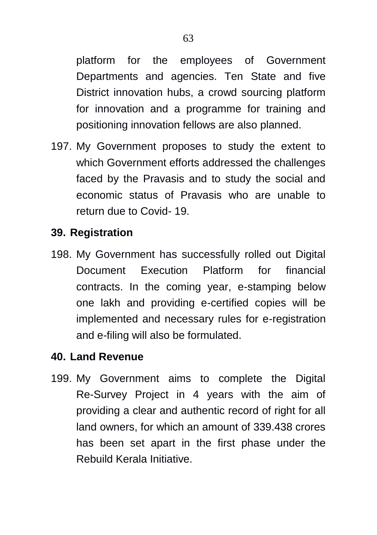platform for the employees of Government Departments and agencies. Ten State and five District innovation hubs, a crowd sourcing platform for innovation and a programme for training and positioning innovation fellows are also planned.

197. My Government proposes to study the extent to which Government efforts addressed the challenges faced by the Pravasis and to study the social and economic status of Pravasis who are unable to return due to Covid- 19.

### **39. Registration**

198. My Government has successfully rolled out Digital Document Execution Platform for financial contracts. In the coming year, e-stamping below one lakh and providing e-certified copies will be implemented and necessary rules for e-registration and e-filing will also be formulated.

## **40. Land Revenue**

199. My Government aims to complete the Digital Re-Survey Project in 4 years with the aim of providing a clear and authentic record of right for all land owners, for which an amount of 339.438 crores has been set apart in the first phase under the Rebuild Kerala Initiative.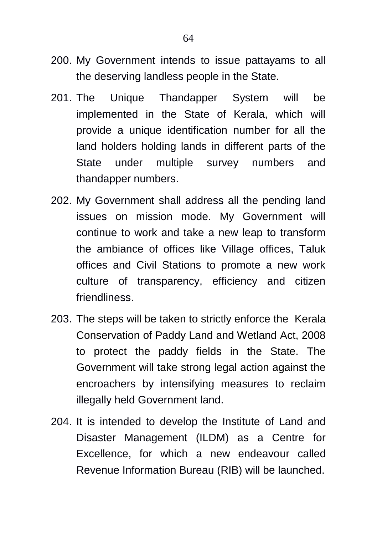- 200. My Government intends to issue pattayams to all the deserving landless people in the State.
- 201. The Unique Thandapper System will be implemented in the State of Kerala, which will provide a unique identification number for all the land holders holding lands in different parts of the State under multiple survey numbers and thandapper numbers.
- 202. My Government shall address all the pending land issues on mission mode. My Government will continue to work and take a new leap to transform the ambiance of offices like Village offices, Taluk offices and Civil Stations to promote a new work culture of transparency, efficiency and citizen friendliness.
- 203. The steps will be taken to strictly enforce the Kerala Conservation of Paddy Land and Wetland Act, 2008 to protect the paddy fields in the State. The Government will take strong legal action against the encroachers by intensifying measures to reclaim illegally held Government land.
- 204. It is intended to develop the Institute of Land and Disaster Management (ILDM) as a Centre for Excellence, for which a new endeavour called Revenue Information Bureau (RIB) will be launched.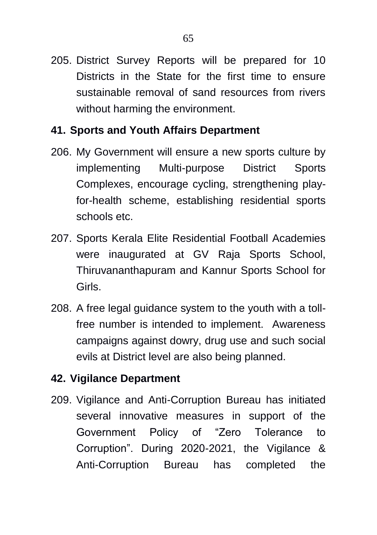205. District Survey Reports will be prepared for 10 Districts in the State for the first time to ensure sustainable removal of sand resources from rivers without harming the environment.

## **41. Sports and Youth Affairs Department**

- 206. My Government will ensure a new sports culture by implementing Multi-purpose District Sports Complexes, encourage cycling, strengthening playfor-health scheme, establishing residential sports schools etc.
- 207. Sports Kerala Elite Residential Football Academies were inaugurated at GV Raja Sports School, Thiruvananthapuram and Kannur Sports School for Girls.
- 208. A free legal guidance system to the youth with a tollfree number is intended to implement. Awareness campaigns against dowry, drug use and such social evils at District level are also being planned.

# **42. Vigilance Department**

209. Vigilance and Anti-Corruption Bureau has initiated several innovative measures in support of the Government Policy of "Zero Tolerance to Corruption". During 2020-2021, the Vigilance & Anti-Corruption Bureau has completed the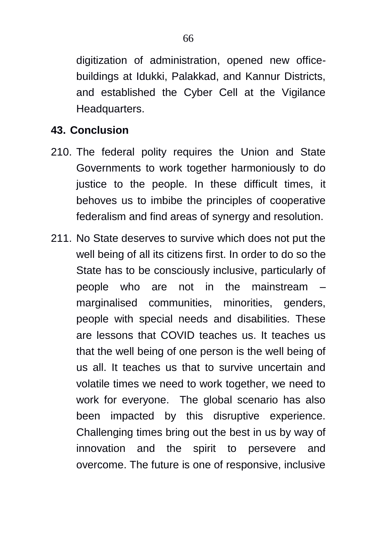digitization of administration, opened new officebuildings at Idukki, Palakkad, and Kannur Districts, and established the Cyber Cell at the Vigilance Headquarters.

#### **43. Conclusion**

- 210. The federal polity requires the Union and State Governments to work together harmoniously to do justice to the people. In these difficult times, it behoves us to imbibe the principles of cooperative federalism and find areas of synergy and resolution.
- 211. No State deserves to survive which does not put the well being of all its citizens first. In order to do so the State has to be consciously inclusive, particularly of people who are not in the mainstream – marginalised communities, minorities, genders, people with special needs and disabilities. These are lessons that COVID teaches us. It teaches us that the well being of one person is the well being of us all. It teaches us that to survive uncertain and volatile times we need to work together, we need to work for everyone. The global scenario has also been impacted by this disruptive experience. Challenging times bring out the best in us by way of innovation and the spirit to persevere and overcome. The future is one of responsive, inclusive